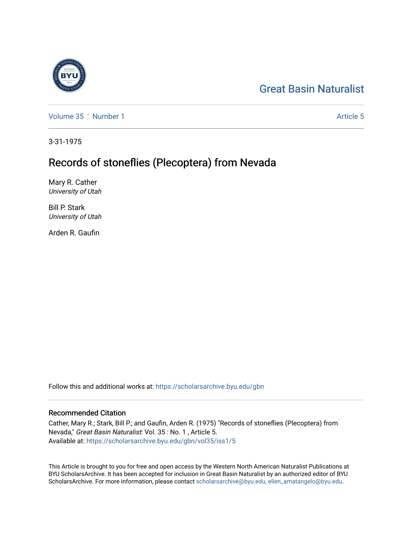# [Great Basin Naturalist](https://scholarsarchive.byu.edu/gbn)

[Volume 35](https://scholarsarchive.byu.edu/gbn/vol35) [Number 1](https://scholarsarchive.byu.edu/gbn/vol35/iss1) [Article 5](https://scholarsarchive.byu.edu/gbn/vol35/iss1/5) Article 5

3-31-1975

## Records of stoneflies (Plecoptera) from Nevada

Mary R. Cather University of Utah

Bill P. Stark University of Utah

Arden R. Gaufin

Follow this and additional works at: [https://scholarsarchive.byu.edu/gbn](https://scholarsarchive.byu.edu/gbn?utm_source=scholarsarchive.byu.edu%2Fgbn%2Fvol35%2Fiss1%2F5&utm_medium=PDF&utm_campaign=PDFCoverPages) 

## Recommended Citation

Cather, Mary R.; Stark, Bill P.; and Gaufin, Arden R. (1975) "Records of stoneflies (Plecoptera) from Nevada," Great Basin Naturalist: Vol. 35 : No. 1 , Article 5. Available at: [https://scholarsarchive.byu.edu/gbn/vol35/iss1/5](https://scholarsarchive.byu.edu/gbn/vol35/iss1/5?utm_source=scholarsarchive.byu.edu%2Fgbn%2Fvol35%2Fiss1%2F5&utm_medium=PDF&utm_campaign=PDFCoverPages)

This Article is brought to you for free and open access by the Western North American Naturalist Publications at BYU ScholarsArchive. It has been accepted for inclusion in Great Basin Naturalist by an authorized editor of BYU ScholarsArchive. For more information, please contact [scholarsarchive@byu.edu, ellen\\_amatangelo@byu.edu.](mailto:scholarsarchive@byu.edu,%20ellen_amatangelo@byu.edu)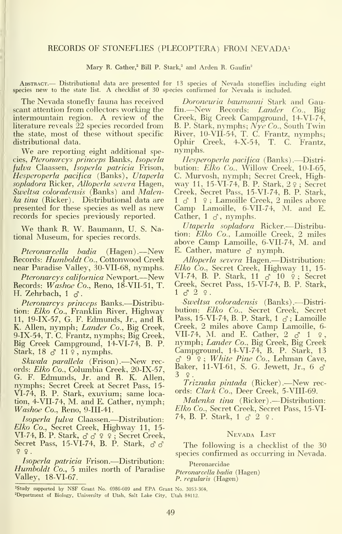### RECORDS OF STONEFLIES (PLECOPTERA) FROM NEVADA<sup>1</sup>

Mary R. Cather,<sup>2</sup> Bill P. Stark,<sup>2</sup> and Arden R. Gaufin<sup>2</sup>

Abstract.— Distributional data are presented for <sup>13</sup> species of Nevada stoneflies including eight species new to the state list. A checklist of 30 species confirmed for Nevada is included.

The Nevada stonefly fauna has received scant attention from collectors working the intermountain region. A review of the literature reveals 22 species recorded from the state, most of these without specific distributional data.

We are reporting eight additional species, Pteronarcys princeps Banks, Isoperla *fulva* Claassen, *Isoperla patricia* Frison, bu Hesperoperla pacifica (Banks), Utaperla sopladora Bicker, AUoperla severa Hagen, Sweltsa coloradensis (Banks) and Malenka tina (Ricker). Distributional data are  $1 \circ 1$   $\circ$ ; Lamoille Creek, 2 miles above presented for these species as well as new records for species previously reported.

We thank B. W. Baumann, U. S. National Museum, for species records.

*Pteronarcella badia* (Hagen).—New <sup>E.</sup> Cather, mature ♂ nymph.<br>cords: *Humboldt Co.*, Cottonwood Creek *Alloperla severa* Hagen.—Distribution: Becords: Humboldt Co., Cottonwood Creek near Paradise Valley, 30-VII-68, nymphs.

Pteronarcys californica Newport.—New Records: Washoe Co., Reno, 18-VII-51, T. H. Zehrbach,  $1 \delta$ .

Pteronarcys princeps Banks.—Distribution: Elko Co., Franklin River, Highway 11, 19-IX-57, G. F. Edmunds, Jr., and B. K. Allen, nymph; Lander Co., Big Creek, 9-IX-54, T. C. Frantz, nymphs; Big Creek, Big Creek Campground, 14-VI-74, B. P. Stark,  $18 \, \delta$   $11 \, \circ$ , nymphs.

Skwala parallela (Frison).—New records: Elko Co., Columbia Creek, 20-IX-57, G. F. Edmunds, Jr. and B. K. Allen, nymphs; Secret Creek at Secret Pass, 15- VI-74, B. P. Stark, exuvium; same location, 4-VII-74, M. and E. Cather, nymph; Malenka tina (Ricker).--- Distribution: Washoe Co., Beno, 9-III-41.

Isoperla fulva Claassen.—Distribution: Elko Co., Secret Creek, Highway 11, 15- VI-74, B. P. Stark,  $\sigma \circ \varphi$  ? ; Secret Creek, Secret Pass, 15-VI-74, B. P. Stark,  $\sigma \sigma$  $99.$ 

Isoperla patricia Frison. —Distribution: Humboldt Co., <sup>5</sup> miles north of Paradise Valley, 18-VI-67.

Doroneuria baumanni Stark and Gau-*Boroneurla baumanni* Stark and Gau-<br>fin.—New Records: *Lander Co.*, Big<br>Creek, Big Creek Campground, 14-VI-74, B. P. Stark, nymphs; Nye Co., South Twin Biver, lO-VII-54, T. C. Frantz, nymphs; Ophir Creek, 4-X-54, T. C. Frantz, nymphs.

Hesperoperla pacifica (Banks).—Distri- bution: Elko Co., Willow Creek, 10-1-65, C. Murvosh, nymph; Secret Creek, Highway 11, 15-VI-74, B. P. Stark, 2 <sup>9</sup> ; Secret Creek, Secret Pass, 15-VI-74, B. P. Stark, Camp Lamoille, 6-VII-74, M. and E. Cather,  $1 \circ \circ$ , nymphs.

Utaperla sopladora Bicker.—Distribution: *Elko Co.*, Lamoille Creek, 2 miles<br>above Camp Lamoille, 6-VII-74, M. and E. Cather, mature  $\delta$  nymph.

Elko Co., Secret Creek, Highway 11, 15-VI-74, B. P. Stark, 11 ♂ 10 ♀; Secret Creek, Secret Pass, 15-VL74, B. P. Stark,  $1 \, 3 \, 2 \, 9$ .

Sweltsa coloradensis (Banks).—Distri bution: Elko Co., Secret Creek, Secret Pass, 15-VI-74, B. P. Stark,  $1\sigma$ ; Lamoille Creek, 2 miles above Camp Lamoille, 6- VII-74, M. and E. Cather, 2 ♂ 1 ♀,<br>nymph; *Lander Co.*, Big Creek, Big Creek Campground, 14-VL74, B. P. Stark, 13  $\delta$  9  $\circ$ ; White Pine Co., Lehman Cave, Baker, 11-VI-61, S. G. Jewett, Jr., 6  $\delta$ 3 9.

Triznaka pintada (Bicker).—New rec ords: Clark Co., Deer Creek, 5-VIII-69.

Elko Co., Secret Creek, Secret Pass, 15-VI-74, B. P. Stark,  $1 \circ 2$   $9$ .

### Nevada List

The following is a checklist of the 30 species confirmed as occurring in Nevada.

#### Pteronarcidae

Pteronarcella badia (Hagen) P. regularis (Hagen)

<sup>&</sup>lt;sup>1</sup>Study supported by NSF Grant No. 6986-609 and EPA Grant No. 3053-364. ^Department of Biology, University of Utah, Salt Lake City, Utah 84112.